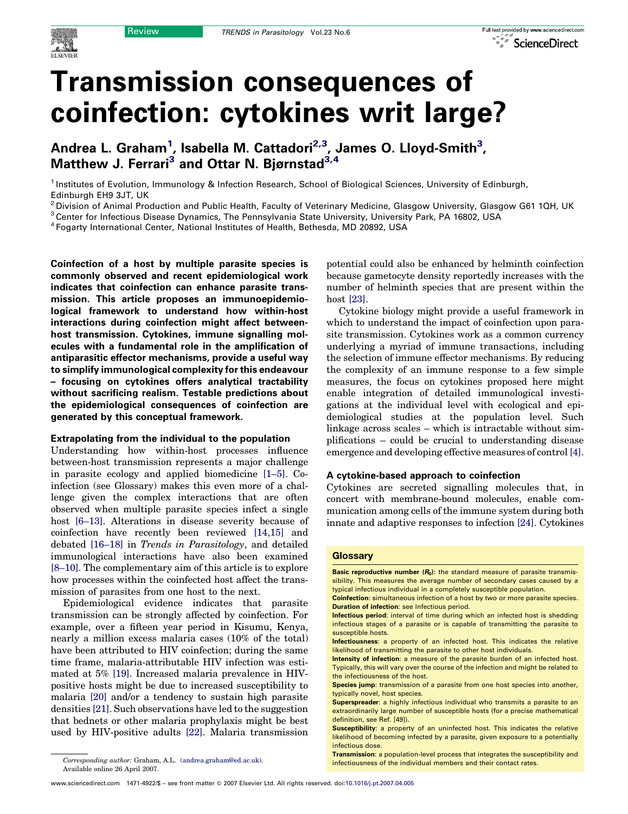# Transmission consequences of coinfection: cytokines writ large?

Andrea L. Graham<sup>1</sup>, Isabella M. Cattadori<sup>2,3</sup>, James O. Lloyd-Smith<sup>3</sup>, Matthew J. Ferrari<sup>3</sup> and Ottar N. Biørnstad<sup>3,4</sup>

<sup>1</sup> Institutes of Evolution, Immunology & Infection Research, School of Biological Sciences, University of Edinburgh, Edinburgh EH9 3JT, UK

<sup>2</sup> Division of Animal Production and Public Health, Faculty of Veterinary Medicine, Glasgow University, Glasgow G61 1QH, UK

<sup>3</sup> Center for Infectious Disease Dynamics, The Pennsylvania State University, University Park, PA 16802, USA

<sup>4</sup> Fogarty International Center, National Institutes of Health, Bethesda, MD 20892, USA

Coinfection of a host by multiple parasite species is commonly observed and recent epidemiological work indicates that coinfection can enhance parasite transmission. This article proposes an immunoepidemiological framework to understand how within-host interactions during coinfection might affect betweenhost transmission. Cytokines, immune signalling molecules with a fundamental role in the amplification of antiparasitic effector mechanisms, provide a useful way to simplify immunological complexity for this endeavour – focusing on cytokines offers analytical tractability without sacrificing realism. Testable predictions about the epidemiological consequences of coinfection are generated by this conceptual framework.

#### Extrapolating from the individual to the population

Understanding how within-host processes influence between-host transmission represents a major challenge in parasite ecology and applied biomedicine [\[1–5\]](#page-5-0). Coinfection (see Glossary) makes this even more of a challenge given the complex interactions that are often observed when multiple parasite species infect a single host [\[6–13\]](#page-6-0). Alterations in disease severity because of coinfection have recently been reviewed [\[14,15\]](#page-6-0) and debated [\[16–18\]](#page-6-0) in Trends in Parasitology, and detailed immunological interactions have also been examined [\[8–10\].](#page-6-0) The complementary aim of this article is to explore how processes within the coinfected host affect the transmission of parasites from one host to the next.

Epidemiological evidence indicates that parasite transmission can be strongly affected by coinfection. For example, over a fifteen year period in Kisumu, Kenya, nearly a million excess malaria cases (10% of the total) have been attributed to HIV coinfection; during the same time frame, malaria-attributable HIV infection was estimated at 5% [\[19\]](#page-6-0). Increased malaria prevalence in HIVpositive hosts might be due to increased susceptibility to malaria [\[20\]](#page-6-0) and/or a tendency to sustain high parasite densities [\[21\].](#page-6-0) Such observations have led to the suggestion that bednets or other malaria prophylaxis might be best used by HIV-positive adults [\[22\].](#page-6-0) Malaria transmission potential could also be enhanced by helminth coinfection because gametocyte density reportedly increases with the number of helminth species that are present within the host [\[23\].](#page-6-0)

Cytokine biology might provide a useful framework in which to understand the impact of coinfection upon parasite transmission. Cytokines work as a common currency underlying a myriad of immune transactions, including the selection of immune effector mechanisms. By reducing the complexity of an immune response to a few simple measures, the focus on cytokines proposed here might enable integration of detailed immunological investigations at the individual level with ecological and epidemiological studies at the population level. Such linkage across scales – which is intractable without simplifications – could be crucial to understanding disease emergence and developing effective measures of control [\[4\]](#page-5-0).

# A cytokine-based approach to coinfection

Cytokines are secreted signalling molecules that, in concert with membrane-bound molecules, enable communication among cells of the immune system during both innate and adaptive responses to infection [\[24\]](#page-6-0). Cytokines

#### **Glossary**

Basic reproductive number  $(R_0)$ : the standard measure of parasite transmissibility. This measures the average number of secondary cases caused by a typical infectious individual in a completely susceptible population.

Coinfection: simultaneous infection of a host by two or more parasite species. Duration of infection: see Infectious period.

Available online 26 April 2007.

Infectious period: interval of time during which an infected host is shedding infectious stages of a parasite or is capable of transmitting the parasite to susceptible hosts.

Infectiousness: a property of an infected host. This indicates the relative likelihood of transmitting the parasite to other host individuals.

Intensity of infection: a measure of the parasite burden of an infected host. Typically, this will vary over the course of the infection and might be related to the infectiousness of the host.

Species jump: transmission of a parasite from one host species into another, typically novel, host species.

Superspreader: a highly infectious individual who transmits a parasite to an extraordinarily large number of susceptible hosts (for a precise mathematical definition, see Ref. [49]).

Susceptibility: a property of an uninfected host. This indicates the relative likelihood of becoming infected by a parasite, given exposure to a potentially infectious dose.

**Transmission:** a population-level process that integrates the susceptibility and infectiousness of the individual members and their contact rates. Corresponding author: Graham, A.L. [\(andrea.graham@ed.ac.uk\)](mailto:andrea.graham@ed.ac.uk).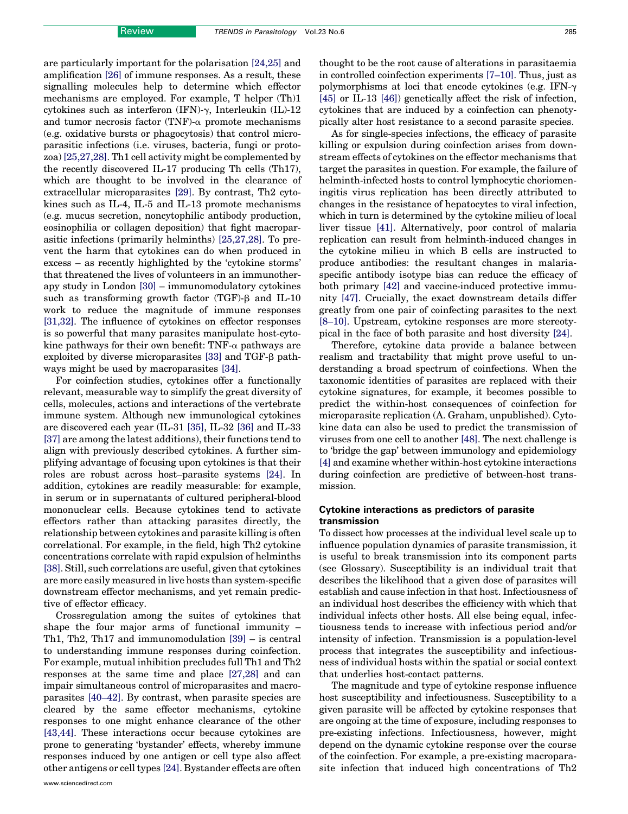are particularly important for the polarisation [\[24,25\]](#page-6-0) and amplification [\[26\]](#page-6-0) of immune responses. As a result, these signalling molecules help to determine which effector mechanisms are employed. For example, T helper (Th)1 cytokines such as interferon (IFN)- $\gamma$ , Interleukin (IL)-12 and tumor necrosis factor (TNF)- $\alpha$  promote mechanisms (e.g. oxidative bursts or phagocytosis) that control microparasitic infections (i.e. viruses, bacteria, fungi or protozoa) [\[25,27,28\]](#page-6-0). Th1 cell activity might be complemented by the recently discovered IL-17 producing Th cells (Th17), which are thought to be involved in the clearance of extracellular microparasites [\[29\]](#page-6-0). By contrast, Th2 cytokines such as IL-4, IL-5 and IL-13 promote mechanisms (e.g. mucus secretion, noncytophilic antibody production, eosinophilia or collagen deposition) that fight macroparasitic infections (primarily helminths) [\[25,27,28\].](#page-6-0) To prevent the harm that cytokines can do when produced in excess – as recently highlighted by the 'cytokine storms' that threatened the lives of volunteers in an immunotherapy study in London [\[30\]](#page-6-0) – immunomodulatory cytokines such as transforming growth factor  $(TGF)-\beta$  and IL-10 work to reduce the magnitude of immune responses [\[31,32\]](#page-6-0). The influence of cytokines on effector responses is so powerful that many parasites manipulate host-cytokine pathways for their own benefit: TNF- $\alpha$  pathways are exploited by diverse microparasites [\[33\]](#page-6-0) and TGF- $\beta$  pathways might be used by macroparasites [\[34\].](#page-6-0)

For coinfection studies, cytokines offer a functionally relevant, measurable way to simplify the great diversity of cells, molecules, actions and interactions of the vertebrate immune system. Although new immunological cytokines are discovered each year (IL-31 [\[35\]](#page-6-0), IL-32 [\[36\]](#page-6-0) and IL-33 [\[37\]](#page-6-0) are among the latest additions), their functions tend to align with previously described cytokines. A further simplifying advantage of focusing upon cytokines is that their roles are robust across host–parasite systems [\[24\].](#page-6-0) In addition, cytokines are readily measurable: for example, in serum or in supernatants of cultured peripheral-blood mononuclear cells. Because cytokines tend to activate effectors rather than attacking parasites directly, the relationship between cytokines and parasite killing is often correlational. For example, in the field, high Th2 cytokine concentrations correlate with rapid expulsion of helminths [\[38\]](#page-6-0). Still, such correlations are useful, given that cytokines are more easily measured in live hosts than system-specific downstream effector mechanisms, and yet remain predictive of effector efficacy.

Crossregulation among the suites of cytokines that shape the four major arms of functional immunity – Th1, Th2, Th17 and immunomodulation [\[39\]](#page-6-0) – is central to understanding immune responses during coinfection. For example, mutual inhibition precludes full Th1 and Th2 responses at the same time and place [\[27,28\]](#page-6-0) and can impair simultaneous control of microparasites and macroparasites [\[40–42\].](#page-6-0) By contrast, when parasite species are cleared by the same effector mechanisms, cytokine responses to one might enhance clearance of the other [\[43,44\]](#page-6-0). These interactions occur because cytokines are prone to generating 'bystander' effects, whereby immune responses induced by one antigen or cell type also affect other antigens or cell types [\[24\]](#page-6-0). Bystander effects are often

thought to be the root cause of alterations in parasitaemia in controlled coinfection experiments [\[7–10\]](#page-6-0). Thus, just as polymorphisms at loci that encode cytokines (e.g. IFN- $\gamma$ ) [\[45\]](#page-6-0) or IL-13 [\[46\]\)](#page-6-0) genetically affect the risk of infection, cytokines that are induced by a coinfection can phenotypically alter host resistance to a second parasite species.

As for single-species infections, the efficacy of parasite killing or expulsion during coinfection arises from downstream effects of cytokines on the effector mechanisms that target the parasites in question. For example, the failure of helminth-infected hosts to control lymphocytic choriomeningitis virus replication has been directly attributed to changes in the resistance of hepatocytes to viral infection, which in turn is determined by the cytokine milieu of local liver tissue [\[41\].](#page-6-0) Alternatively, poor control of malaria replication can result from helminth-induced changes in the cytokine milieu in which B cells are instructed to produce antibodies: the resultant changes in malariaspecific antibody isotype bias can reduce the efficacy of both primary [\[42\]](#page-6-0) and vaccine-induced protective immunity [\[47\].](#page-6-0) Crucially, the exact downstream details differ greatly from one pair of coinfecting parasites to the next [\[8–10\].](#page-6-0) Upstream, cytokine responses are more stereotypical in the face of both parasite and host diversity [\[24\].](#page-6-0)

Therefore, cytokine data provide a balance between realism and tractability that might prove useful to understanding a broad spectrum of coinfections. When the taxonomic identities of parasites are replaced with their cytokine signatures, for example, it becomes possible to predict the within-host consequences of coinfection for microparasite replication (A. Graham, unpublished). Cytokine data can also be used to predict the transmission of viruses from one cell to another [\[48\]](#page-6-0). The next challenge is to 'bridge the gap' between immunology and epidemiology [\[4\]](#page-5-0) and examine whether within-host cytokine interactions during coinfection are predictive of between-host transmission.

### Cytokine interactions as predictors of parasite transmission

To dissect how processes at the individual level scale up to influence population dynamics of parasite transmission, it is useful to break transmission into its component parts (see Glossary). Susceptibility is an individual trait that describes the likelihood that a given dose of parasites will establish and cause infection in that host. Infectiousness of an individual host describes the efficiency with which that individual infects other hosts. All else being equal, infectiousness tends to increase with infectious period and/or intensity of infection. Transmission is a population-level process that integrates the susceptibility and infectiousness of individual hosts within the spatial or social context that underlies host-contact patterns.

The magnitude and type of cytokine response influence host susceptibility and infectiousness. Susceptibility to a given parasite will be affected by cytokine responses that are ongoing at the time of exposure, including responses to pre-existing infections. Infectiousness, however, might depend on the dynamic cytokine response over the course of the coinfection. For example, a pre-existing macroparasite infection that induced high concentrations of Th2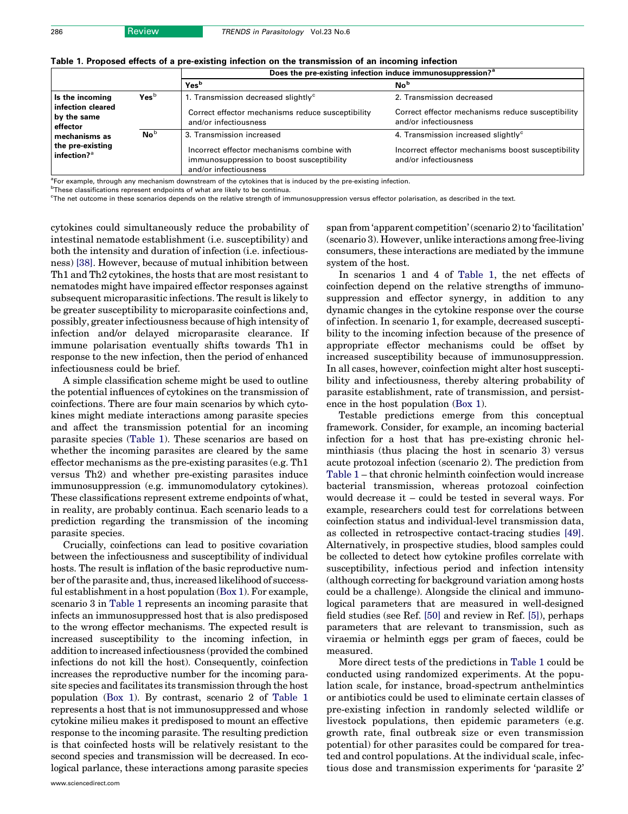|                                                                 |                            | Does the pre-existing infection induce immunosuppression? <sup>a</sup>                                                                        |                                                                                                                                |  |  |  |  |  |  |
|-----------------------------------------------------------------|----------------------------|-----------------------------------------------------------------------------------------------------------------------------------------------|--------------------------------------------------------------------------------------------------------------------------------|--|--|--|--|--|--|
|                                                                 |                            | Yes <sup>b</sup>                                                                                                                              | No <sup>b</sup>                                                                                                                |  |  |  |  |  |  |
| Is the incoming<br>infection cleared<br>by the same<br>effector | Yes <sup>b</sup>           | 1. Transmission decreased slightly <sup>c</sup><br>Correct effector mechanisms reduce susceptibility<br>and/or infectiousness                 | 2. Transmission decreased<br>Correct effector mechanisms reduce susceptibility<br>and/or infectiousness                        |  |  |  |  |  |  |
| mechanisms as<br>the pre-existing<br>infection? $a$             | $\mathbf{No}^{\mathsf{b}}$ | 3. Transmission increased<br>Incorrect effector mechanisms combine with<br>immunosuppression to boost susceptibility<br>and/or infectiousness | 4. Transmission increased slightly <sup>c</sup><br>Incorrect effector mechanisms boost susceptibility<br>and/or infectiousness |  |  |  |  |  |  |

<span id="page-2-0"></span>

|  |  |  |  | Table 1. Proposed effects of a pre-existing infection on the transmission of an incoming infection |  |  |
|--|--|--|--|----------------------------------------------------------------------------------------------------|--|--|
|  |  |  |  |                                                                                                    |  |  |

<sup>a</sup>For example, through any mechanism downstream of the cytokines that is induced by the pre-existing infection.

<sup>b</sup>These classifications represent endpoints of what are likely to be continua.

c The net outcome in these scenarios depends on the relative strength of immunosuppression versus effector polarisation, as described in the text.

cytokines could simultaneously reduce the probability of intestinal nematode establishment (i.e. susceptibility) and both the intensity and duration of infection (i.e. infectiousness) [\[38\].](#page-6-0) However, because of mutual inhibition between Th1 and Th2 cytokines, the hosts that are most resistant to nematodes might have impaired effector responses against subsequent microparasitic infections. The result is likely to be greater susceptibility to microparasite coinfections and, possibly, greater infectiousness because of high intensity of infection and/or delayed microparasite clearance. If immune polarisation eventually shifts towards Th1 in response to the new infection, then the period of enhanced infectiousness could be brief.

A simple classification scheme might be used to outline the potential influences of cytokines on the transmission of coinfections. There are four main scenarios by which cytokines might mediate interactions among parasite species and affect the transmission potential for an incoming parasite species (Table 1). These scenarios are based on whether the incoming parasites are cleared by the same effector mechanisms as the pre-existing parasites (e.g. Th1 versus Th2) and whether pre-existing parasites induce immunosuppression (e.g. immunomodulatory cytokines). These classifications represent extreme endpoints of what, in reality, are probably continua. Each scenario leads to a prediction regarding the transmission of the incoming parasite species.

Crucially, coinfections can lead to positive covariation between the infectiousness and susceptibility of individual hosts. The result is inflation of the basic reproductive number of the parasite and, thus, increased likelihood of successful establishment in a host population [\(Box 1\)](#page-3-0). For example, scenario 3 in Table 1 represents an incoming parasite that infects an immunosuppressed host that is also predisposed to the wrong effector mechanisms. The expected result is increased susceptibility to the incoming infection, in addition to increased infectiousness (provided the combined infections do not kill the host). Consequently, coinfection increases the reproductive number for the incoming parasite species and facilitates its transmission through the host population ([Box 1\)](#page-3-0). By contrast, scenario 2 of Table 1 represents a host that is not immunosuppressed and whose cytokine milieu makes it predisposed to mount an effective response to the incoming parasite. The resulting prediction is that coinfected hosts will be relatively resistant to the second species and transmission will be decreased. In ecological parlance, these interactions among parasite species span from 'apparent competition' (scenario 2) to 'facilitation' (scenario 3). However, unlike interactions among free-living consumers, these interactions are mediated by the immune system of the host.

In scenarios 1 and 4 of Table 1, the net effects of coinfection depend on the relative strengths of immunosuppression and effector synergy, in addition to any dynamic changes in the cytokine response over the course of infection. In scenario 1, for example, decreased susceptibility to the incoming infection because of the presence of appropriate effector mechanisms could be offset by increased susceptibility because of immunosuppression. In all cases, however, coinfection might alter host susceptibility and infectiousness, thereby altering probability of parasite establishment, rate of transmission, and persistence in the host population [\(Box 1](#page-3-0)).

Testable predictions emerge from this conceptual framework. Consider, for example, an incoming bacterial infection for a host that has pre-existing chronic helminthiasis (thus placing the host in scenario 3) versus acute protozoal infection (scenario 2). The prediction from Table 1 – that chronic helminth coinfection would increase bacterial transmission, whereas protozoal coinfection would decrease it – could be tested in several ways. For example, researchers could test for correlations between coinfection status and individual-level transmission data, as collected in retrospective contact-tracing studies [\[49\]](#page-6-0). Alternatively, in prospective studies, blood samples could be collected to detect how cytokine profiles correlate with susceptibility, infectious period and infection intensity (although correcting for background variation among hosts could be a challenge). Alongside the clinical and immunological parameters that are measured in well-designed field studies (see Ref. [\[50\]](#page-6-0) and review in Ref. [\[5\]](#page-5-0)), perhaps parameters that are relevant to transmission, such as viraemia or helminth eggs per gram of faeces, could be measured.

More direct tests of the predictions in Table 1 could be conducted using randomized experiments. At the population scale, for instance, broad-spectrum anthelmintics or antibiotics could be used to eliminate certain classes of pre-existing infection in randomly selected wildlife or livestock populations, then epidemic parameters (e.g. growth rate, final outbreak size or even transmission potential) for other parasites could be compared for treated and control populations. At the individual scale, infectious dose and transmission experiments for 'parasite 2'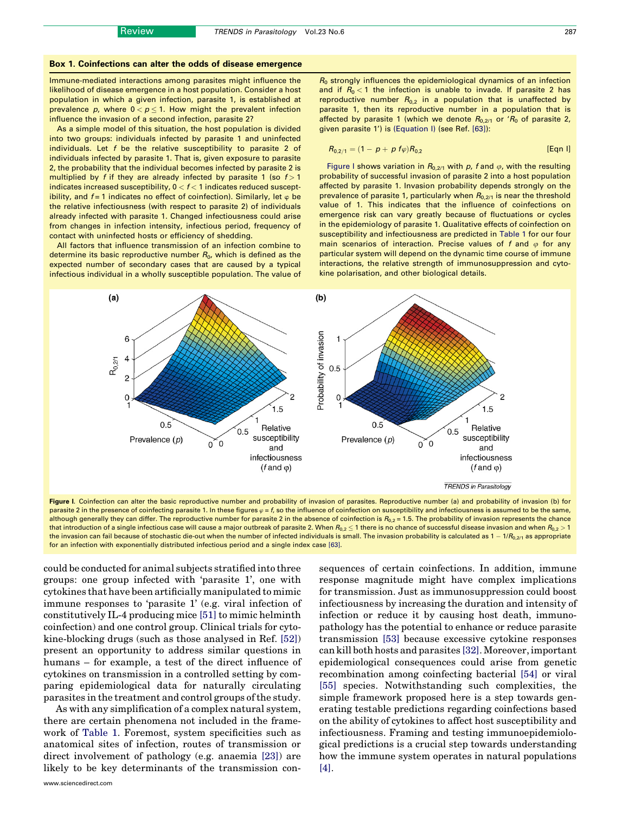#### <span id="page-3-0"></span>Box 1. Coinfections can alter the odds of disease emergence

Immune-mediated interactions among parasites might influence the likelihood of disease emergence in a host population. Consider a host population in which a given infection, parasite 1, is established at prevalence  $p$ , where  $0 < p \leq 1.$  How might the prevalent infection influence the invasion of a second infection, parasite 2?

As a simple model of this situation, the host population is divided into two groups: individuals infected by parasite 1 and uninfected individuals. Let f be the relative susceptibility to parasite 2 of individuals infected by parasite 1. That is, given exposure to parasite 2, the probability that the individual becomes infected by parasite 2 is multiplied by f if they are already infected by parasite 1 (so  $f > 1$ indicates increased susceptibility,  $0 < f < 1$  indicates reduced susceptibility, and  $f = 1$  indicates no effect of coinfection). Similarly, let  $\varphi$  be the relative infectiousness (with respect to parasite 2) of individuals already infected with parasite 1. Changed infectiousness could arise from changes in infection intensity, infectious period, frequency of contact with uninfected hosts or efficiency of shedding.

All factors that influence transmission of an infection combine to determine its basic reproductive number  $R_0$ , which is defined as the expected number of secondary cases that are caused by a typical infectious individual in a wholly susceptible population. The value of

 $R_0$  strongly influences the epidemiological dynamics of an infection and if  $R_0 < 1$  the infection is unable to invade. If parasite 2 has reproductive number  $R_{0,2}$  in a population that is unaffected by parasite 1, then its reproductive number in a population that is affected by parasite 1 (which we denote  $R_{0,2/1}$  or ' $R_0$  of parasite 2, given parasite 1') is (Equation I) (see Ref. [\[63\]](#page-7-0)):

$$
R_{0,2/1} = (1 - p + p \, f \varphi) R_{0,2} \tag{Eqn 1}
$$

Figure I shows variation in  $R_{0,2/1}$  with p, f and  $\varphi$ , with the resulting probability of successful invasion of parasite 2 into a host population affected by parasite 1. Invasion probability depends strongly on the prevalence of parasite 1, particularly when  $R_{0,2/1}$  is near the threshold value of 1. This indicates that the influence of coinfections on emergence risk can vary greatly because of fluctuations or cycles in the epidemiology of parasite 1. Qualitative effects of coinfection on susceptibility and infectiousness are predicted in [Table 1](#page-2-0) for our four main scenarios of interaction. Precise values of f and  $\varphi$  for any particular system will depend on the dynamic time course of immune interactions, the relative strength of immunosuppression and cytokine polarisation, and other biological details.



Figure I. Coinfection can alter the basic reproductive number and probability of invasion of parasites. Reproductive number (a) and probability of invasion (b) for parasite 2 in the presence of coinfecting parasite 1. In these figures  $\varphi = f$ , so the influence of coinfection on susceptibility and infectiousness is assumed to be the same, although generally they can differ. The reproductive number for parasite 2 in the absence of coinfection is  $R_{0,2} = 1.5$ . The probability of invasion represents the chance that introduction of a single infectious case will cause a major outbreak of parasite 2. When  $R_{0.2}$   $\leq$  1 there is no chance of successful disease invasion and when  $R_{0.2}$   $>$  1 the invasion can fail because of stochastic die-out when the number of infected individuals is small. The invasion probability is calculated as  $1 - 1/R_{0,2/1}$  as appropriate for an infection with exponentially distributed infectious period and a single index case [\[63\].](#page-7-0)

could be conducted for animal subjects stratified into three groups: one group infected with 'parasite 1', one with cytokines that have been artificially manipulated to mimic immune responses to 'parasite 1' (e.g. viral infection of constitutively IL-4 producing mice [\[51\]](#page-6-0) to mimic helminth coinfection) and one control group. Clinical trials for cytokine-blocking drugs (such as those analysed in Ref. [\[52\]](#page-6-0)) present an opportunity to address similar questions in humans – for example, a test of the direct influence of cytokines on transmission in a controlled setting by comparing epidemiological data for naturally circulating parasites in the treatment and control groups of the study.

As with any simplification of a complex natural system, there are certain phenomena not included in the framework of [Table 1.](#page-2-0) Foremost, system specificities such as anatomical sites of infection, routes of transmission or direct involvement of pathology (e.g. anaemia [\[23\]](#page-6-0)) are likely to be key determinants of the transmission con-

sequences of certain coinfections. In addition, immune response magnitude might have complex implications for transmission. Just as immunosuppression could boost infectiousness by increasing the duration and intensity of infection or reduce it by causing host death, immunopathology has the potential to enhance or reduce parasite transmission [\[53\]](#page-6-0) because excessive cytokine responses can kill both hosts and parasites [\[32\].](#page-6-0) Moreover, important epidemiological consequences could arise from genetic recombination among coinfecting bacterial [\[54\]](#page-6-0) or viral [\[55\]](#page-6-0) species. Notwithstanding such complexities, the simple framework proposed here is a step towards generating testable predictions regarding coinfections based on the ability of cytokines to affect host susceptibility and infectiousness. Framing and testing immunoepidemiological predictions is a crucial step towards understanding how the immune system operates in natural populations [\[4\]](#page-5-0).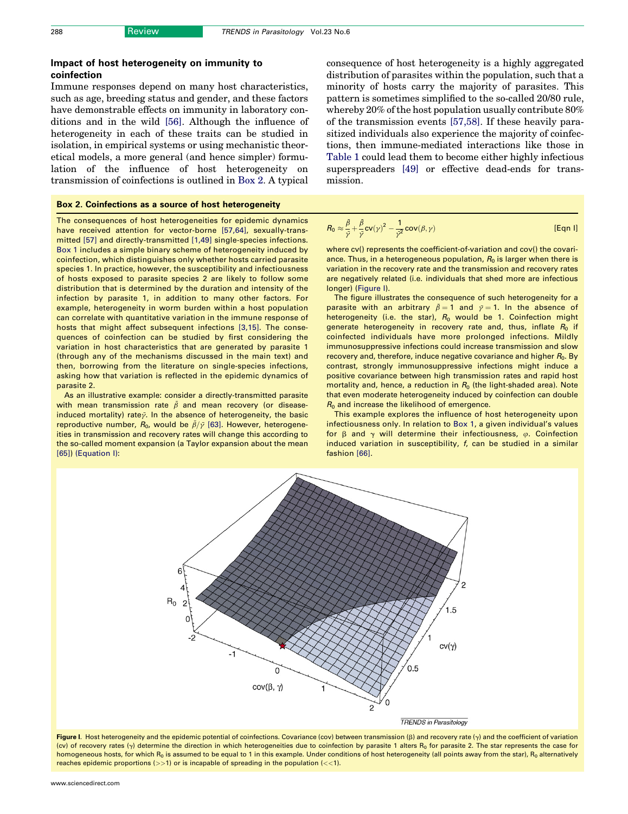## <span id="page-4-0"></span>Impact of host heterogeneity on immunity to coinfection

Immune responses depend on many host characteristics, such as age, breeding status and gender, and these factors have demonstrable effects on immunity in laboratory conditions and in the wild [\[56\]](#page-6-0). Although the influence of heterogeneity in each of these traits can be studied in isolation, in empirical systems or using mechanistic theoretical models, a more general (and hence simpler) formulation of the influence of host heterogeneity on transmission of coinfections is outlined in Box 2. A typical

#### Box 2. Coinfections as a source of host heterogeneity

The consequences of host heterogeneities for epidemic dynamics have received attention for vector-borne [\[57,64\]](#page-6-0), sexually-transmitted [\[57\]](#page-6-0) and directly-transmitted [\[1,49\]](#page-5-0) single-species infections. [Box 1](#page-3-0) includes a simple binary scheme of heterogeneity induced by coinfection, which distinguishes only whether hosts carried parasite species 1. In practice, however, the susceptibility and infectiousness of hosts exposed to parasite species 2 are likely to follow some distribution that is determined by the duration and intensity of the infection by parasite 1, in addition to many other factors. For example, heterogeneity in worm burden within a host population can correlate with quantitative variation in the immune response of hosts that might affect subsequent infections [\[3,15\].](#page-5-0) The consequences of coinfection can be studied by first considering the variation in host characteristics that are generated by parasite 1 (through any of the mechanisms discussed in the main text) and then, borrowing from the literature on single-species infections, asking how that variation is reflected in the epidemic dynamics of parasite 2.

As an illustrative example: consider a directly-transmitted parasite with mean transmission rate  $\bar{\beta}$  and mean recovery (or diseaseinduced mortality) rate $\bar{y}$ . In the absence of heterogeneity, the basic reproductive number,  $R_0$ , would be  $\bar{\beta}/\bar{\gamma}$  [\[63\].](#page-7-0) However, heterogeneities in transmission and recovery rates will change this according to the so-called moment expansion (a Taylor expansion about the mean [\[65\]\)](#page-7-0) (Equation I):

consequence of host heterogeneity is a highly aggregated distribution of parasites within the population, such that a minority of hosts carry the majority of parasites. This pattern is sometimes simplified to the so-called 20/80 rule, whereby 20% of the host population usually contribute 80% of the transmission events [\[57,58\].](#page-6-0) If these heavily parasitized individuals also experience the majority of coinfections, then immune-mediated interactions like those in [Table 1](#page-2-0) could lead them to become either highly infectious superspreaders [\[49\]](#page-6-0) or effective dead-ends for transmission.

$$
R_0 \approx \frac{\bar{\beta}}{\bar{\gamma}} + \frac{\bar{\beta}}{\bar{\gamma}} \text{cv}(\gamma)^2 - \frac{1}{\bar{\gamma}^2} \text{cov}(\beta, \gamma)
$$
 [Eqn 1]

where cv() represents the coefficient-of-variation and cov() the covariance. Thus, in a heterogeneous population,  $R_0$  is larger when there is variation in the recovery rate and the transmission and recovery rates are negatively related (i.e. individuals that shed more are infectious longer) (Figure I).

The figure illustrates the consequence of such heterogeneity for a parasite with an arbitrary  $\bar{\beta} = 1$  and  $\bar{\gamma} = 1$ . In the absence of heterogeneity (i.e. the star),  $R_0$  would be 1. Coinfection might generate heterogeneity in recovery rate and, thus, inflate  $R_0$  if coinfected individuals have more prolonged infections. Mildly immunosuppressive infections could increase transmission and slow recovery and, therefore, induce negative covariance and higher  $R_0$ . By contrast, strongly immunosuppressive infections might induce a positive covariance between high transmission rates and rapid host mortality and, hence, a reduction in  $R_0$  (the light-shaded area). Note that even moderate heterogeneity induced by coinfection can double  $R_0$  and increase the likelihood of emergence.

This example explores the influence of host heterogeneity upon infectiousness only. In relation to [Box 1,](#page-3-0) a given individual's values for  $\beta$  and  $\gamma$  will determine their infectiousness,  $\varphi$ . Coinfection induced variation in susceptibility, f, can be studied in a similar fashion [\[66\]](#page-7-0).



Figure I. Host heterogeneity and the epidemic potential of coinfections. Covariance (cov) between transmission  $(\beta)$  and recovery rate  $(\gamma)$  and the coefficient of variation (cv) of recovery rates  $(y)$  determine the direction in which heterogeneities due to coinfection by parasite 1 alters  $R_0$  for parasite 2. The star represents the case for homogeneous hosts, for which R<sub>0</sub> is assumed to be equal to 1 in this example. Under conditions of host heterogeneity (all points away from the star), R<sub>0</sub> alternatively reaches epidemic proportions  $(>>1)$  or is incapable of spreading in the population  $(<1)$ .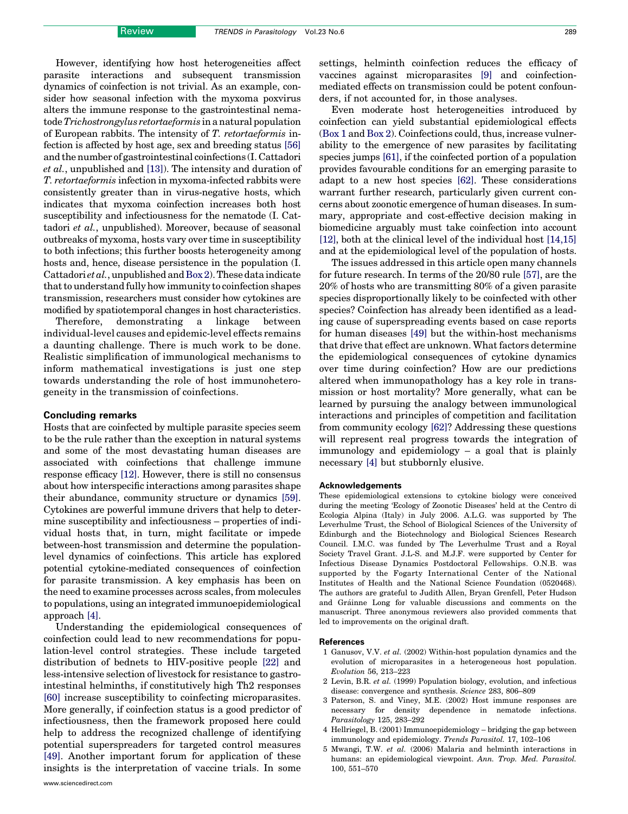<span id="page-5-0"></span>However, identifying how host heterogeneities affect parasite interactions and subsequent transmission dynamics of coinfection is not trivial. As an example, consider how seasonal infection with the myxoma poxvirus alters the immune response to the gastrointestinal nematode Trichostrongylus retortaeformis in a natural population of European rabbits. The intensity of T. retortaeformis infection is affected by host age, sex and breeding status [\[56\]](#page-6-0) and the number of gastrointestinal coinfections (I. Cattadori et al., unpublished and [\[13\]](#page-6-0)). The intensity and duration of T. retortaeformis infection in myxoma-infected rabbits were consistently greater than in virus-negative hosts, which indicates that myxoma coinfection increases both host susceptibility and infectiousness for the nematode (I. Cattadori et al., unpublished). Moreover, because of seasonal outbreaks of myxoma, hosts vary over time in susceptibility to both infections; this further boosts heterogeneity among hosts and, hence, disease persistence in the population (I. Cattadori *et al.*, unpublished and  $Box 2$ ). These data indicate that to understand fully how immunity to coinfection shapes transmission, researchers must consider how cytokines are modified by spatiotemporal changes in host characteristics.

Therefore, demonstrating a linkage between individual-level causes and epidemic-level effects remains a daunting challenge. There is much work to be done. Realistic simplification of immunological mechanisms to inform mathematical investigations is just one step towards understanding the role of host immunoheterogeneity in the transmission of coinfections.

#### Concluding remarks

Hosts that are coinfected by multiple parasite species seem to be the rule rather than the exception in natural systems and some of the most devastating human diseases are associated with coinfections that challenge immune response efficacy [\[12\].](#page-6-0) However, there is still no consensus about how interspecific interactions among parasites shape their abundance, community structure or dynamics [\[59\]](#page-7-0). Cytokines are powerful immune drivers that help to determine susceptibility and infectiousness – properties of individual hosts that, in turn, might facilitate or impede between-host transmission and determine the populationlevel dynamics of coinfections. This article has explored potential cytokine-mediated consequences of coinfection for parasite transmission. A key emphasis has been on the need to examine processes across scales, from molecules to populations, using an integrated immunoepidemiological approach [4].

Understanding the epidemiological consequences of coinfection could lead to new recommendations for population-level control strategies. These include targeted distribution of bednets to HIV-positive people [\[22\]](#page-6-0) and less-intensive selection of livestock for resistance to gastrointestinal helminths, if constitutively high Th2 responses [\[60\]](#page-7-0) increase susceptibility to coinfecting microparasites. More generally, if coinfection status is a good predictor of infectiousness, then the framework proposed here could help to address the recognized challenge of identifying potential superspreaders for targeted control measures [\[49\]](#page-6-0). Another important forum for application of these insights is the interpretation of vaccine trials. In some

settings, helminth coinfection reduces the efficacy of vaccines against microparasites [\[9\]](#page-6-0) and coinfectionmediated effects on transmission could be potent confounders, if not accounted for, in those analyses.

Even moderate host heterogeneities introduced by coinfection can yield substantial epidemiological effects ([Box 1](#page-3-0) and [Box 2](#page-4-0)). Coinfections could, thus, increase vulnerability to the emergence of new parasites by facilitating species jumps [\[61\],](#page-7-0) if the coinfected portion of a population provides favourable conditions for an emerging parasite to adapt to a new host species [\[62\]](#page-7-0). These considerations warrant further research, particularly given current concerns about zoonotic emergence of human diseases. In summary, appropriate and cost-effective decision making in biomedicine arguably must take coinfection into account [\[12\],](#page-6-0) both at the clinical level of the individual host [\[14,15\]](#page-6-0) and at the epidemiological level of the population of hosts.

The issues addressed in this article open many channels for future research. In terms of the 20/80 rule [\[57\],](#page-6-0) are the 20% of hosts who are transmitting 80% of a given parasite species disproportionally likely to be coinfected with other species? Coinfection has already been identified as a leading cause of superspreading events based on case reports for human diseases [\[49\]](#page-6-0) but the within-host mechanisms that drive that effect are unknown. What factors determine the epidemiological consequences of cytokine dynamics over time during coinfection? How are our predictions altered when immunopathology has a key role in transmission or host mortality? More generally, what can be learned by pursuing the analogy between immunological interactions and principles of competition and facilitation from community ecology [\[62\]?](#page-7-0) Addressing these questions will represent real progress towards the integration of immunology and epidemiology – a goal that is plainly necessary [4] but stubbornly elusive.

#### Acknowledgements

These epidemiological extensions to cytokine biology were conceived during the meeting 'Ecology of Zoonotic Diseases' held at the Centro di Ecologia Alpina (Italy) in July 2006. A.L.G. was supported by The Leverhulme Trust, the School of Biological Sciences of the University of Edinburgh and the Biotechnology and Biological Sciences Research Council. I.M.C. was funded by The Leverhulme Trust and a Royal Society Travel Grant. J.L-S. and M.J.F. were supported by Center for Infectious Disease Dynamics Postdoctoral Fellowships. O.N.B. was supported by the Fogarty International Center of the National Institutes of Health and the National Science Foundation (0520468). The authors are grateful to Judith Allen, Bryan Grenfell, Peter Hudson and Gráinne Long for valuable discussions and comments on the manuscript. Three anonymous reviewers also provided comments that led to improvements on the original draft.

#### References

- 1 Ganusov, V.V. et al. (2002) Within-host population dynamics and the evolution of microparasites in a heterogeneous host population. Evolution 56, 213–223
- 2 Levin, B.R. et al. (1999) Population biology, evolution, and infectious disease: convergence and synthesis. Science 283, 806–809
- 3 Paterson, S. and Viney, M.E. (2002) Host immune responses are necessary for density dependence in nematode infections. Parasitology 125, 283–292
- 4 Hellriegel, B. (2001) Immunoepidemiology bridging the gap between immunology and epidemiology. Trends Parasitol. 17, 102–106
- 5 Mwangi, T.W. et al. (2006) Malaria and helminth interactions in humans: an epidemiological viewpoint. Ann. Trop. Med. Parasitol. 100, 551–570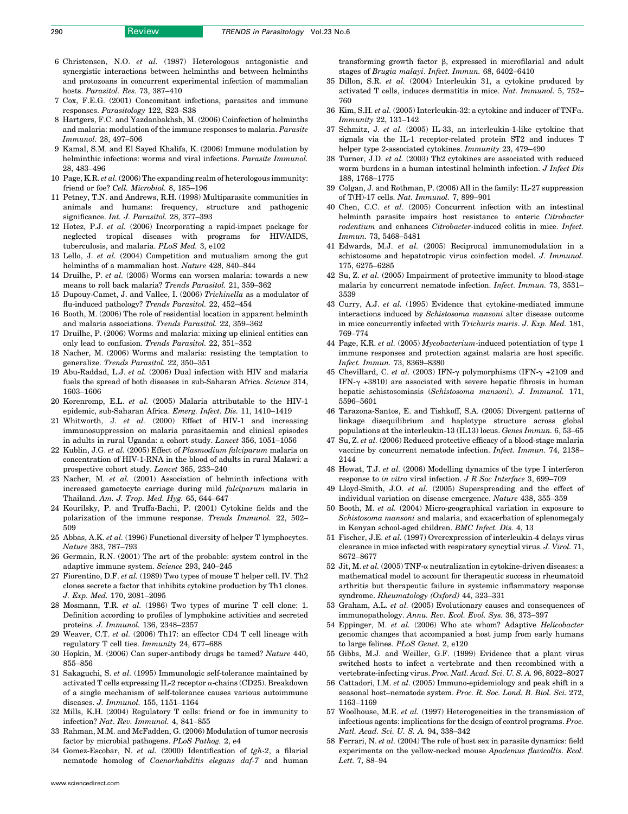- <span id="page-6-0"></span>6 Christensen, N.O. et al. (1987) Heterologous antagonistic and synergistic interactions between helminths and between helminths and protozoans in concurrent experimental infection of mammalian hosts. Parasitol. Res. 73, 387–410
- 7 Cox, F.E.G. (2001) Concomitant infections, parasites and immune responses. Parasitology 122, S23–S38
- 8 Hartgers, F.C. and Yazdanbakhsh, M. (2006) Coinfection of helminths and malaria: modulation of the immune responses to malaria. Parasite Immunol. 28, 497–506
- 9 Kamal, S.M. and El Sayed Khalifa, K. (2006) Immune modulation by helminthic infections: worms and viral infections. Parasite Immunol. 28, 483–496
- 10 Page, K.R. et al. (2006) The expanding realm of heterologous immunity: friend or foe? Cell. Microbiol. 8, 185-196
- 11 Petney, T.N. and Andrews, R.H. (1998) Multiparasite communities in animals and humans: frequency, structure and pathogenic significance. Int. J. Parasitol. 28, 377–393
- 12 Hotez, P.J. et al. (2006) Incorporating a rapid-impact package for neglected tropical diseases with programs for HIV/AIDS, tuberculosis, and malaria. PLoS Med. 3, e102
- 13 Lello, J. et al. (2004) Competition and mutualism among the gut helminths of a mammalian host. Nature 428, 840–844
- 14 Druilhe, P. et al. (2005) Worms can worsen malaria: towards a new means to roll back malaria? Trends Parasitol. 21, 359–362
- 15 Dupouy-Camet, J. and Vallee, I. (2006) Trichinella as a modulator of flu-induced pathology? Trends Parasitol. 22, 452–454
- 16 Booth, M. (2006) The role of residential location in apparent helminth and malaria associations. Trends Parasitol. 22, 359–362
- 17 Druilhe, P. (2006) Worms and malaria: mixing up clinical entities can only lead to confusion. Trends Parasitol. 22, 351–352
- 18 Nacher, M. (2006) Worms and malaria: resisting the temptation to generalize. Trends Parasitol. 22, 350–351
- 19 Abu-Raddad, L.J. et al. (2006) Dual infection with HIV and malaria fuels the spread of both diseases in sub-Saharan Africa. Science 314, 1603–1606
- 20 Korenromp, E.L. et al. (2005) Malaria attributable to the HIV-1 epidemic, sub-Saharan Africa. Emerg. Infect. Dis. 11, 1410–1419
- 21 Whitworth, J. et al. (2000) Effect of HIV-1 and increasing immunosuppression on malaria parasitaemia and clinical episodes in adults in rural Uganda: a cohort study. Lancet 356, 1051–1056
- 22 Kublin, J.G. et al. (2005) Effect of Plasmodium falciparum malaria on concentration of HIV-1-RNA in the blood of adults in rural Malawi: a prospective cohort study. Lancet 365, 233–240
- 23 Nacher, M. et al. (2001) Association of helminth infections with increased gametocyte carriage during mild falciparum malaria in Thailand. Am. J. Trop. Med. Hyg. 65, 644–647
- 24 Kourilsky, P. and Truffa-Bachi, P. (2001) Cytokine fields and the polarization of the immune response. Trends Immunol. 22, 502– 509
- 25 Abbas, A.K. et al. (1996) Functional diversity of helper T lymphocytes. Nature 383, 787–793
- 26 Germain, R.N. (2001) The art of the probable: system control in the adaptive immune system. Science 293, 240–245
- 27 Fiorentino, D.F. et al. (1989) Two types of mouse T helper cell. IV. Th2 clones secrete a factor that inhibits cytokine production by Th1 clones. J. Exp. Med. 170, 2081–2095
- 28 Mosmann, T.R. et al. (1986) Two types of murine T cell clone: 1. Definition according to profiles of lymphokine activities and secreted proteins. J. Immunol. 136, 2348–2357
- 29 Weaver, C.T. et al. (2006) Th17: an effector CD4 T cell lineage with regulatory T cell ties. Immunity 24, 677–688
- 30 Hopkin, M. (2006) Can super-antibody drugs be tamed? Nature 440, 855–856
- 31 Sakaguchi, S. et al. (1995) Immunologic self-tolerance maintained by activated T cells expressing IL-2 receptor  $\alpha$ -chains (CD25). Breakdown of a single mechanism of self-tolerance causes various autoimmune diseases. J. Immunol. 155, 1151–1164
- 32 Mills, K.H. (2004) Regulatory T cells: friend or foe in immunity to infection? Nat. Rev. Immunol. 4, 841–855
- 33 Rahman, M.M. and McFadden, G. (2006) Modulation of tumor necrosis factor by microbial pathogens. PLoS Pathog. 2, e4
- 34 Gomez-Escobar, N. et al. (2000) Identification of tgh-2, a filarial nematode homolog of Caenorhabditis elegans daf-7 and human

transforming growth factor  $\beta$ , expressed in microfilarial and adult stages of Brugia malayi. Infect. Immun. 68, 6402–6410

- 35 Dillon, S.R. et al. (2004) Interleukin 31, a cytokine produced by activated T cells, induces dermatitis in mice. Nat. Immunol. 5, 752– 760
- 36 Kim, S.H. et al. (2005) Interleukin-32: a cytokine and inducer of  $TNF\alpha$ . Immunity 22, 131–142
- 37 Schmitz, J. et al. (2005) IL-33, an interleukin-1-like cytokine that signals via the IL-1 receptor-related protein ST2 and induces T helper type 2-associated cytokines. Immunity 23, 479–490
- 38 Turner, J.D. et al. (2003) Th2 cytokines are associated with reduced worm burdens in a human intestinal helminth infection. J Infect Dis 188, 1768–1775
- 39 Colgan, J. and Rothman, P. (2006) All in the family: IL-27 suppression of T(H)-17 cells. Nat. Immunol. 7, 899–901
- 40 Chen, C.C. et al. (2005) Concurrent infection with an intestinal helminth parasite impairs host resistance to enteric Citrobacter rodentium and enhances *Citrobacter*-induced colitis in mice. *Infect.* Immun. 73, 5468–5481
- 41 Edwards, M.J. et al. (2005) Reciprocal immunomodulation in a schistosome and hepatotropic virus coinfection model. J. Immunol. 175, 6275–6285
- 42 Su, Z. et al. (2005) Impairment of protective immunity to blood-stage malaria by concurrent nematode infection. Infect. Immun. 73, 3531– 3539
- 43 Curry, A.J. et al. (1995) Evidence that cytokine-mediated immune interactions induced by Schistosoma mansoni alter disease outcome in mice concurrently infected with Trichuris muris. J. Exp. Med. 181, 769–774
- 44 Page, K.R. et al. (2005) Mycobacterium-induced potentiation of type 1 immune responses and protection against malaria are host specific. Infect. Immun. 73, 8369–8380
- 45 Chevillard, C. et al. (2003) IFN- $\gamma$  polymorphisms (IFN- $\gamma$  +2109 and IFN- $\gamma$  +3810) are associated with severe hepatic fibrosis in human hepatic schistosomiasis (Schistosoma mansoni). J. Immunol. 171, 5596–5601
- 46 Tarazona-Santos, E. and Tishkoff, S.A. (2005) Divergent patterns of linkage disequilibrium and haplotype structure across global populations at the interleukin-13 (IL13) locus. Genes Immun. 6, 53–65
- 47 Su, Z. et al. (2006) Reduced protective efficacy of a blood-stage malaria vaccine by concurrent nematode infection. Infect. Immun. 74, 2138– 2144
- 48 Howat, T.J. et al. (2006) Modelling dynamics of the type I interferon response to in vitro viral infection. J R Soc Interface 3, 699–709
- 49 Lloyd-Smith, J.O. et al. (2005) Superspreading and the effect of individual variation on disease emergence. Nature 438, 355–359
- 50 Booth, M. et al. (2004) Micro-geographical variation in exposure to Schistosoma mansoni and malaria, and exacerbation of splenomegaly in Kenyan school-aged children. BMC Infect. Dis. 4, 13
- 51 Fischer, J.E. et al. (1997) Overexpression of interleukin-4 delays virus clearance in mice infected with respiratory syncytial virus. J. Virol. 71, 8672–8677
- 52 Jit, M. et al. (2005) TNF- $\alpha$  neutralization in cytokine-driven diseases: a mathematical model to account for therapeutic success in rheumatoid arthritis but therapeutic failure in systemic inflammatory response syndrome. Rheumatology (Oxford) 44, 323–331
- 53 Graham, A.L. et al. (2005) Evolutionary causes and consequences of immunopathology. Annu. Rev. Ecol. Evol. Sys. 36, 373–397
- 54 Eppinger, M. et al. (2006) Who ate whom? Adaptive Helicobacter genomic changes that accompanied a host jump from early humans to large felines. PLoS Genet. 2, e120
- 55 Gibbs, M.J. and Weiller, G.F. (1999) Evidence that a plant virus switched hosts to infect a vertebrate and then recombined with a vertebrate-infecting virus. Proc. Natl. Acad. Sci. U. S. A. 96, 8022–8027
- 56 Cattadori, I.M. et al. (2005) Immuno-epidemiology and peak shift in a seasonal host–nematode system. Proc. R. Soc. Lond. B. Biol. Sci. 272, 1163–1169
- 57 Woolhouse, M.E. et al. (1997) Heterogeneities in the transmission of infectious agents: implications for the design of control programs. Proc. Natl. Acad. Sci. U. S. A. 94, 338–342
- 58 Ferrari, N. et al. (2004) The role of host sex in parasite dynamics: field experiments on the yellow-necked mouse Apodemus flavicollis. Ecol. Lett. 7, 88–94